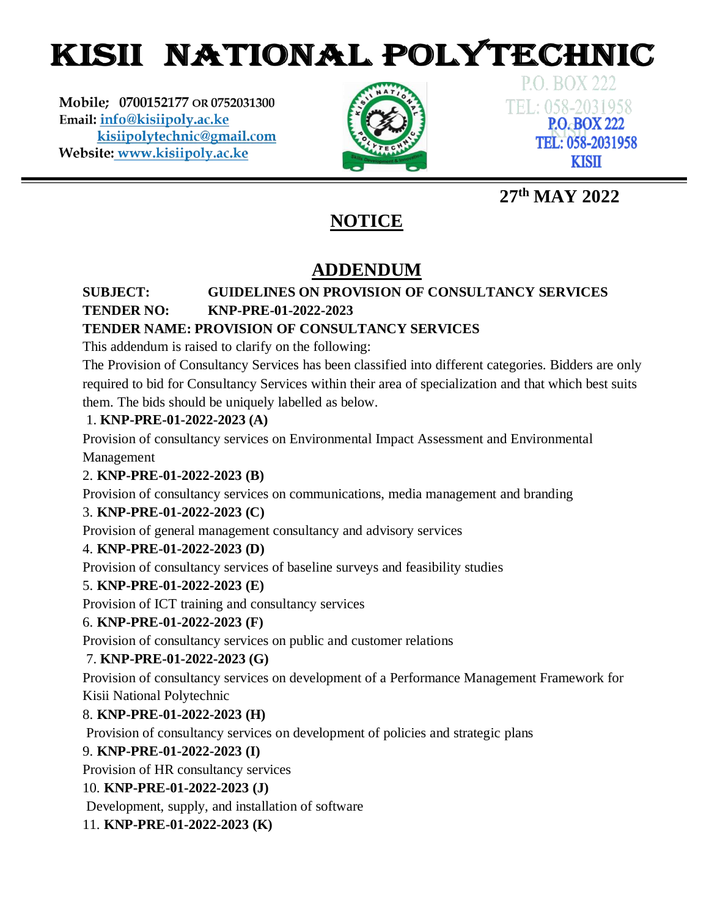# KISII NATIONAL POLYTECHNIC

Mobile; 0700152177 OR 0752031300 Email: info@kisiipoly.ac.ke kisiipolytechnic@gmail.com Website: www.kisiipoly.ac.ke



**P.O. BOX 222** TEL: 058-2031958 **P.O. BOX 222** TEL: 058-2031958 **KISII** 

# **27th MAY 2022**

# **NOTICE**

# **ADDENDUM**

# **SUBJECT: GUIDELINES ON PROVISION OF CONSULTANCY SERVICES TENDER NO: KNP-PRE-01-2022-2023**

# **TENDER NAME: PROVISION OF CONSULTANCY SERVICES**

This addendum is raised to clarify on the following:

The Provision of Consultancy Services has been classified into different categories. Bidders are only required to bid for Consultancy Services within their area of specialization and that which best suits them. The bids should be uniquely labelled as below.

# 1. **KNP-PRE-01-2022-2023 (A)**

Provision of consultancy services on Environmental Impact Assessment and Environmental

Management

## 2. **KNP-PRE-01-2022-2023 (B)**

Provision of consultancy services on communications, media management and branding

## 3. **KNP-PRE-01-2022-2023 (C)**

Provision of general management consultancy and advisory services

# 4. **KNP-PRE-01-2022-2023 (D)**

Provision of consultancy services of baseline surveys and feasibility studies

## 5. **KNP-PRE-01-2022-2023 (E)**

Provision of ICT training and consultancy services

## 6. **KNP-PRE-01-2022-2023 (F)**

Provision of consultancy services on public and customer relations

# 7. **KNP-PRE-01-2022-2023 (G)**

Provision of consultancy services on development of a Performance Management Framework for Kisii National Polytechnic

# 8. **KNP-PRE-01-2022-2023 (H)**

Provision of consultancy services on development of policies and strategic plans

## 9. **KNP-PRE-01-2022-2023 (I)**

Provision of HR consultancy services

## 10. **KNP-PRE-01-2022-2023 (J)**

Development, supply, and installation of software

## 11. **KNP-PRE-01-2022-2023 (K)**